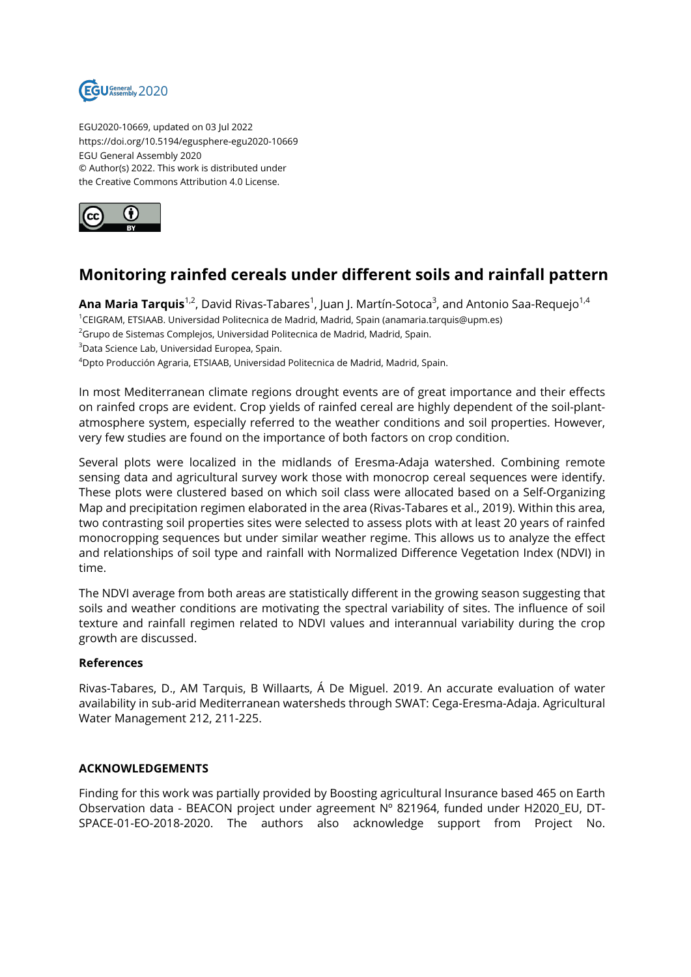

EGU2020-10669, updated on 03 Jul 2022 https://doi.org/10.5194/egusphere-egu2020-10669 EGU General Assembly 2020 © Author(s) 2022. This work is distributed under the Creative Commons Attribution 4.0 License.



## **Monitoring rainfed cereals under different soils and rainfall pattern**

**Ana Maria Tarquis**<sup>1,2</sup>, David Rivas-Tabares<sup>1</sup>, Juan J. Martín-Sotoca<sup>3</sup>, and Antonio Saa-Requejo<sup>1,4</sup> <sup>1</sup>CEIGRAM, ETSIAAB. Universidad Politecnica de Madrid, Madrid, Spain (anamaria.tarquis@upm.es) <sup>2</sup>Grupo de Sistemas Complejos, Universidad Politecnica de Madrid, Madrid, Spain. <sup>3</sup>Data Science Lab, Universidad Europea, Spain.

<sup>4</sup>Dpto Producción Agraria, ETSIAAB, Universidad Politecnica de Madrid, Madrid, Spain.

In most Mediterranean climate regions drought events are of great importance and their effects on rainfed crops are evident. Crop yields of rainfed cereal are highly dependent of the soil-plantatmosphere system, especially referred to the weather conditions and soil properties. However, very few studies are found on the importance of both factors on crop condition.

Several plots were localized in the midlands of Eresma-Adaja watershed. Combining remote sensing data and agricultural survey work those with monocrop cereal sequences were identify. These plots were clustered based on which soil class were allocated based on a Self-Organizing Map and precipitation regimen elaborated in the area (Rivas-Tabares et al., 2019). Within this area, two contrasting soil properties sites were selected to assess plots with at least 20 years of rainfed monocropping sequences but under similar weather regime. This allows us to analyze the effect and relationships of soil type and rainfall with Normalized Difference Vegetation Index (NDVI) in time.

The NDVI average from both areas are statistically different in the growing season suggesting that soils and weather conditions are motivating the spectral variability of sites. The influence of soil texture and rainfall regimen related to NDVI values and interannual variability during the crop growth are discussed.

## **References**

Rivas-Tabares, D., AM Tarquis, B Willaarts, Á De Miguel. 2019. An accurate evaluation of water availability in sub-arid Mediterranean watersheds through SWAT: Cega-Eresma-Adaja. Agricultural Water Management 212, 211-225.

## **ACKNOWLEDGEMENTS**

Finding for this work was partially provided by Boosting agricultural Insurance based 465 on Earth Observation data - BEACON project under agreement Nº 821964, funded under H2020\_EU, DT-SPACE-01-EO-2018-2020. The authors also acknowledge support from Project No.